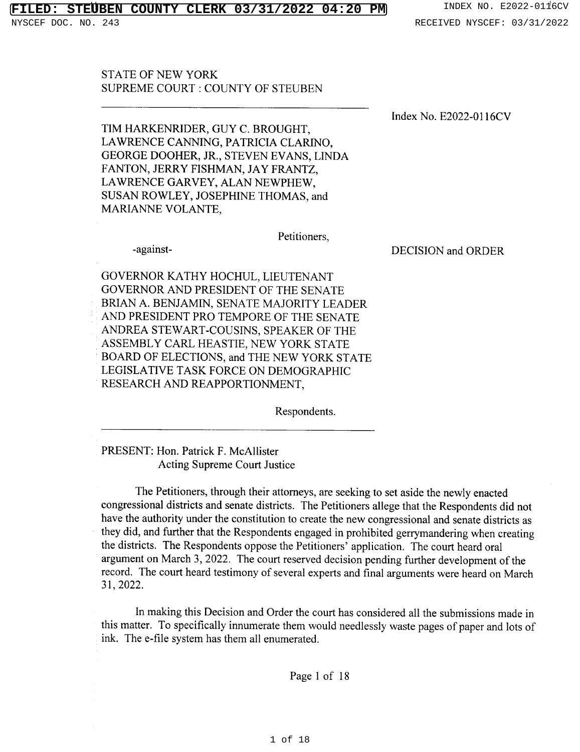## **FILERX 03/31/2022 04:20 PM** INDEX NO. E2022-0116CV

DOC. NO. 243 RECEIVED NYSCEF: 03/31/2022

**STATE OF NEW YORK SUPREME COURT: COUNTY OF STEUBEN** 

Index No. E2022-0116CV

TIM HARKENRIDER, GUY C. BROUGHT, LAWRENCE CANNING, PATRICIA CLARINO, GEORGE DOOHER, JR., STEVEN EVANS, LINDA FANTON, JERRY FISHMAN, JAY FRANTZ, LAWRENCE GARVEY, ALAN NEWPHEW, SUSAN ROWLEY, JOSEPHINE THOMAS, and MARIANNE VOLANTE.

Petitioners,

-against-

DECISION and ORDER

GOVERNOR KATHY HOCHUL, LIEUTENANT GOVERNOR AND PRESIDENT OF THE SENATE BRIAN A. BENJAMIN, SENATE MAJORITY LEADER AND PRESIDENT PRO TEMPORE OF THE SENATE ANDREA STEWART-COUSINS, SPEAKER OF THE ASSEMBLY CARL HEASTIE, NEW YORK STATE BOARD OF ELECTIONS, and THE NEW YORK STATE LEGISLATIVE TASK FORCE ON DEMOGRAPHIC RESEARCH AND REAPPORTIONMENT,

Respondents.

PRESENT: Hon. Patrick F. McAllister **Acting Supreme Court Justice** 

The Petitioners, through their attorneys, are seeking to set aside the newly enacted congressional districts and senate districts. The Petitioners allege that the Respondents did not have the authority under the constitution to create the new congressional and senate districts as they did, and further that the Respondents engaged in prohibited gerrymandering when creating the districts. The Respondents oppose the Petitioners' application. The court heard oral argument on March 3, 2022. The court reserved decision pending further development of the record. The court heard testimony of several experts and final arguments were heard on March 31, 2022.

In making this Decision and Order the court has considered all the submissions made in this matter. To specifically innumerate them would needlessly waste pages of paper and lots of ink. The e-file system has them all enumerated.

Page 1 of 18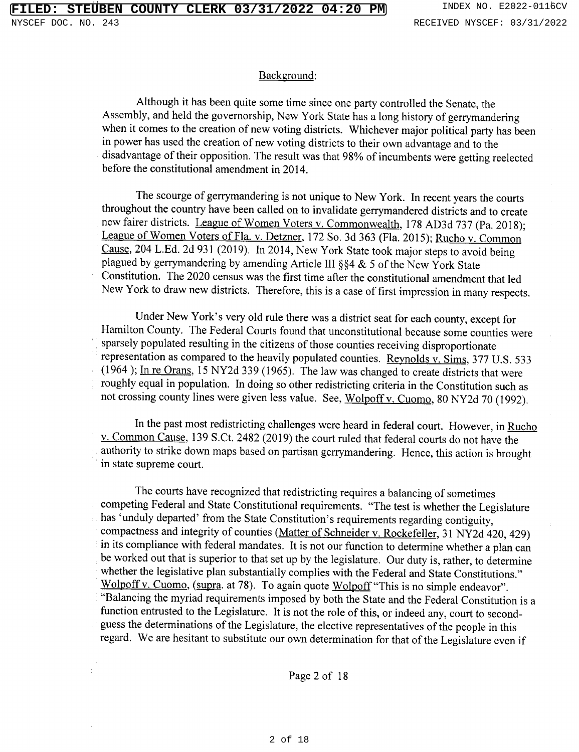#### Background:

Although it has been quite some time since one party controlled the Senate, the Assembly, and held the governorship, New York State has a long history of gerrymandering when it comes to the creation of new voting districts. Whichever major political party has been in power has used the creation of new voting districts to their own advantage and to the disadvantage of their opposition. The result was that 98% of incumbents were getting reelected before the constitutional amendment in 2014.

The scourge of gerrymandering is not unique to New York. In recent years the courts throughout the country have been called on to invalidate gerrymandered districts and to create new fairer districts. League of Women Voters v. Commonwealth, 178 AD3d 737 (Pa. 2018); League of Women Voters of Fla. v. Detzner, 172 So. 3d 363 (Fla. 2015); Rucho v. Common Cause, 204 L.Ed. 2d 931 (2019). In 2014, New York State took major steps to avoid being plagued by gerrymandering by amending Article III §§4 & 5 of the New York State Constitution. The 2020 census was the first time after the constitutional amendment that led New York to draw new districts. Therefore, this is a case of first impression in many respects.

Under New York's very old rule there was a district seat for each county, except for Hamilton County. The Federal Courts found that unconstitutional because some counties were sparsely populated resulting in the citizens of those counties receiving disproportionate representation as compared to the heavily populated counties. Reynolds v. Sims, 377 U.S. 533  $(1964)$ ; In re Orans, 15 NY2d 339 (1965). The law was changed to create districts that were roughly equal in population. In doing so other redistricting criteria in the Constitution such as not crossing county lines were given less value. See, Wolpoff v. Cuomo, 80 NY2d 70 (1992).

In the past most redistricting challenges were heard in federal court. However, in Rucho v. Common Cause, 139 S.Ct. 2482 (2019) the court ruled that federal courts do not have the authority to strike down maps based on partisan gerrymandering. Hence, this action is brought in state supreme court.

The courts have recognized that redistricting requires a balancing of sometimes competing Federal and State Constitutional requirements. "The test is whether the Legislature has 'unduly departed' from the State Constitution's requirements regarding contiguity, compactness and integrity of counties (Matter of Schneider v. Rockefeller, 31 NY2d 420, 429) in its compliance with federal mandates. It is not our function to determine whether a plan can be worked out that is superior to that set up by the legislature. Our duty is, rather, to determine whether the legislative plan substantially complies with the Federal and State Constitutions." Wolpoff v. Cuomo, (supra. at 78). To again quote Wolpoff "This is no simple endeavor". "Balancing the myriad requirements imposed by both the State and the Federal Constitution is a function entrusted to the Legislature. It is not the role of this, or indeed any, court to secondguess the determinations of the Legislature, the elective representatives of the people in this regard. We are hesitant to substitute our own determination for that of the Legislature even if

Page 2 of 18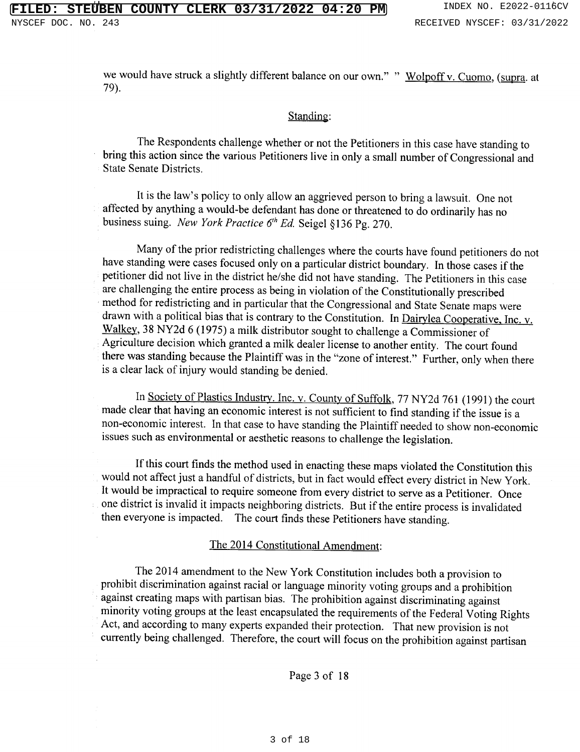we would have struck a slightly different balance on our own." " Wolpoff v. Cuomo, (supra. at 79).

#### Standing:

The Respondents challenge whether or not the Petitioners in this case have standing to bring this action since the various Petitioners live in only a small number of Congressional and **State Senate Districts** 

It is the law's policy to only allow an aggrieved person to bring a lawsuit. One not affected by anything a would-be defendant has done or threatened to do ordinarily has no business suing. New York Practice  $6<sup>th</sup> Ed$ . Seigel §136 Pg. 270.

Many of the prior redistricting challenges where the courts have found petitioners do not have standing were cases focused only on a particular district boundary. In those cases if the petitioner did not live in the district he/she did not have standing. The Petitioners in this case are challenging the entire process as being in violation of the Constitutionally prescribed method for redistricting and in particular that the Congressional and State Senate maps were drawn with a political bias that is contrary to the Constitution. In Dairylea Cooperative, Inc. v. Walkey, 38 NY2d 6 (1975) a milk distributor sought to challenge a Commissioner of Agriculture decision which granted a milk dealer license to another entity. The court found there was standing because the Plaintiff was in the "zone of interest." Further, only when there is a clear lack of injury would standing be denied.

In Society of Plastics Industry. Inc. v. County of Suffolk, 77 NY2d 761 (1991) the court made clear that having an economic interest is not sufficient to find standing if the issue is a non-economic interest. In that case to have standing the Plaintiff needed to show non-economic issues such as environmental or aesthetic reasons to challenge the legislation.

If this court finds the method used in enacting these maps violated the Constitution this would not affect just a handful of districts, but in fact would effect every district in New York. It would be impractical to require someone from every district to serve as a Petitioner. Once one district is invalid it impacts neighboring districts. But if the entire process is invalidated then everyone is impacted. The court finds these Petitioners have standing.

#### The 2014 Constitutional Amendment:

The 2014 amendment to the New York Constitution includes both a provision to prohibit discrimination against racial or language minority voting groups and a prohibition against creating maps with partisan bias. The prohibition against discriminating against minority voting groups at the least encapsulated the requirements of the Federal Voting Rights Act, and according to many experts expanded their protection. That new provision is not currently being challenged. Therefore, the court will focus on the prohibition against partisan

Page 3 of 18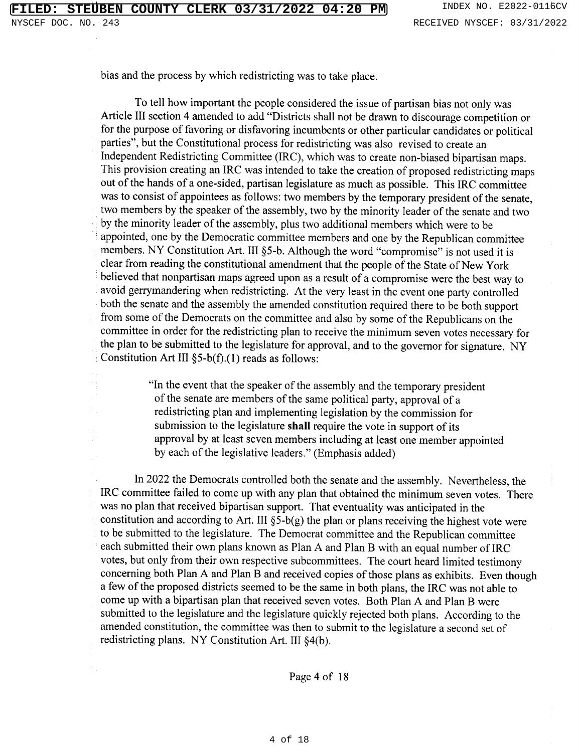bias and the process by which redistricting was to take place.

To tell how important the people considered the issue of partisan bias not only was Article III section 4 amended to add "Districts shall not be drawn to discourage competition or for the purpose of favoring or disfavoring incumbents or other particular candidates or political parties", but the Constitutional process for redistricting was also revised to create an Independent Redistricting Committee (IRC), which was to create non-biased bipartisan maps. This provision creating an IRC was intended to take the creation of proposed redistricting maps out of the hands of a one-sided, partisan legislature as much as possible. This IRC committee was to consist of appointees as follows: two members by the temporary president of the senate, two members by the speaker of the assembly, two by the minority leader of the senate and two by the minority leader of the assembly, plus two additional members which were to be appointed, one by the Democratic committee members and one by the Republican committee members. NY Constitution Art. III §5-b. Although the word "compromise" is not used it is clear from reading the constitutional amendment that the people of the State of New York believed that nonpartisan maps agreed upon as a result of a compromise were the best way to avoid gerrymandering when redistricting. At the very least in the event one party controlled both the senate and the assembly the amended constitution required there to be both support from some of the Democrats on the committee and also by some of the Republicans on the committee in order for the redistricting plan to receive the minimum seven votes necessary for the plan to be submitted to the legislature for approval, and to the governor for signature. NY Constitution Art III  $\S$ 5-b(f).(1) reads as follows:

> "In the event that the speaker of the assembly and the temporary president of the senate are members of the same political party, approval of a redistricting plan and implementing legislation by the commission for submission to the legislature shall require the vote in support of its approval by at least seven members including at least one member appointed by each of the legislative leaders." (Emphasis added)

In 2022 the Democrats controlled both the senate and the assembly. Nevertheless, the IRC committee failed to come up with any plan that obtained the minimum seven votes. There was no plan that received bipartisan support. That eventuality was anticipated in the constitution and according to Art. III  $\S$ 5-b(g) the plan or plans receiving the highest vote were to be submitted to the legislature. The Democrat committee and the Republican committee each submitted their own plans known as Plan A and Plan B with an equal number of IRC votes, but only from their own respective subcommittees. The court heard limited testimony concerning both Plan A and Plan B and received copies of those plans as exhibits. Even though a few of the proposed districts seemed to be the same in both plans, the IRC was not able to come up with a bipartisan plan that received seven votes. Both Plan A and Plan B were submitted to the legislature and the legislature quickly rejected both plans. According to the amended constitution, the committee was then to submit to the legislature a second set of redistricting plans. NY Constitution Art. III  $\S4(b)$ .

Page 4 of 18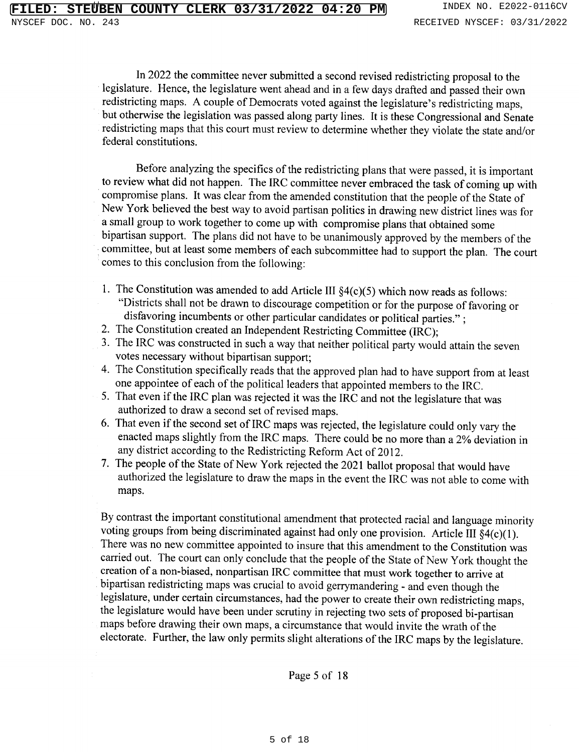In 2022 the committee never submitted a second revised redistricting proposal to the legislature. Hence, the legislature went ahead and in a few days drafted and passed their own redistricting maps. A couple of Democrats voted against the legislature's redistricting maps, but otherwise the legislation was passed along party lines. It is these Congressional and Senate redistricting maps that this court must review to determine whether they violate the state and/or federal constitutions.

Before analyzing the specifics of the redistricting plans that were passed, it is important to review what did not happen. The IRC committee never embraced the task of coming up with compromise plans. It was clear from the amended constitution that the people of the State of New York believed the best way to avoid partisan politics in drawing new district lines was for a small group to work together to come up with compromise plans that obtained some bipartisan support. The plans did not have to be unanimously approved by the members of the committee, but at least some members of each subcommittee had to support the plan. The court comes to this conclusion from the following:

- 1. The Constitution was amended to add Article III  $\S4(c)(5)$  which now reads as follows: "Districts shall not be drawn to discourage competition or for the purpose of favoring or disfavoring incumbents or other particular candidates or political parties.";
- 2. The Constitution created an Independent Restricting Committee (IRC);
- 3. The IRC was constructed in such a way that neither political party would attain the seven votes necessary without bipartisan support;
- 4. The Constitution specifically reads that the approved plan had to have support from at least one appointee of each of the political leaders that appointed members to the IRC.
- 5. That even if the IRC plan was rejected it was the IRC and not the legislature that was authorized to draw a second set of revised maps.
- 6. That even if the second set of IRC maps was rejected, the legislature could only vary the enacted maps slightly from the IRC maps. There could be no more than a 2% deviation in any district according to the Redistricting Reform Act of 2012.
- 7. The people of the State of New York rejected the 2021 ballot proposal that would have authorized the legislature to draw the maps in the event the IRC was not able to come with maps.

By contrast the important constitutional amendment that protected racial and language minority voting groups from being discriminated against had only one provision. Article III  $\S4(c)(1)$ . There was no new committee appointed to insure that this amendment to the Constitution was carried out. The court can only conclude that the people of the State of New York thought the creation of a non-biased, nonpartisan IRC committee that must work together to arrive at bipartisan redistricting maps was crucial to avoid gerrymandering - and even though the legislature, under certain circumstances, had the power to create their own redistricting maps, the legislature would have been under scrutiny in rejecting two sets of proposed bi-partisan maps before drawing their own maps, a circumstance that would invite the wrath of the electorate. Further, the law only permits slight alterations of the IRC maps by the legislature.

Page 5 of 18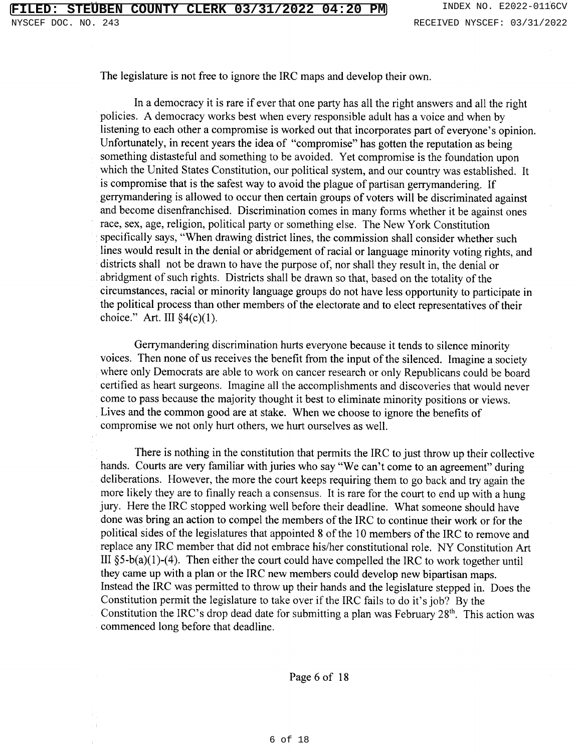The legislature is not free to ignore the IRC maps and develop their own.

In a democracy it is rare if ever that one party has all the right answers and all the right policies. A democracy works best when every responsible adult has a voice and when by listening to each other a compromise is worked out that incorporates part of everyone's opinion. Unfortunately, in recent years the idea of "compromise" has gotten the reputation as being something distasteful and something to be avoided. Yet compromise is the foundation upon which the United States Constitution, our political system, and our country was established. It is compromise that is the safest way to avoid the plague of partisan gerrymandering. If gerrymandering is allowed to occur then certain groups of voters will be discriminated against and become disenfranchised. Discrimination comes in many forms whether it be against ones race, sex, age, religion, political party or something else. The New York Constitution specifically says, "When drawing district lines, the commission shall consider whether such lines would result in the denial or abridgement of racial or language minority voting rights, and districts shall not be drawn to have the purpose of, nor shall they result in, the denial or abridgment of such rights. Districts shall be drawn so that, based on the totality of the circumstances, racial or minority language groups do not have less opportunity to participate in the political process than other members of the electorate and to elect representatives of their choice." Art. III  $\S4(c)(1)$ .

Gerrymandering discrimination hurts everyone because it tends to silence minority voices. Then none of us receives the benefit from the input of the silenced. Imagine a society where only Democrats are able to work on cancer research or only Republicans could be board certified as heart surgeons. Imagine all the accomplishments and discoveries that would never come to pass because the majority thought it best to eliminate minority positions or views. Lives and the common good are at stake. When we choose to ignore the benefits of compromise we not only hurt others, we hurt ourselves as well.

There is nothing in the constitution that permits the IRC to just throw up their collective hands. Courts are very familiar with juries who say "We can't come to an agreement" during deliberations. However, the more the court keeps requiring them to go back and try again the more likely they are to finally reach a consensus. It is rare for the court to end up with a hung jury. Here the IRC stopped working well before their deadline. What someone should have done was bring an action to compel the members of the IRC to continue their work or for the political sides of the legislatures that appointed 8 of the 10 members of the IRC to remove and replace any IRC member that did not embrace his/her constitutional role. NY Constitution Art III  $\S5-b(a)(1)-(4)$ . Then either the court could have compelled the IRC to work together until they came up with a plan or the IRC new members could develop new bipartisan maps. Instead the IRC was permitted to throw up their hands and the legislature stepped in. Does the Constitution permit the legislature to take over if the IRC fails to do it's job? By the Constitution the IRC's drop dead date for submitting a plan was February 28<sup>th</sup>. This action was commenced long before that deadline.

Page 6 of 18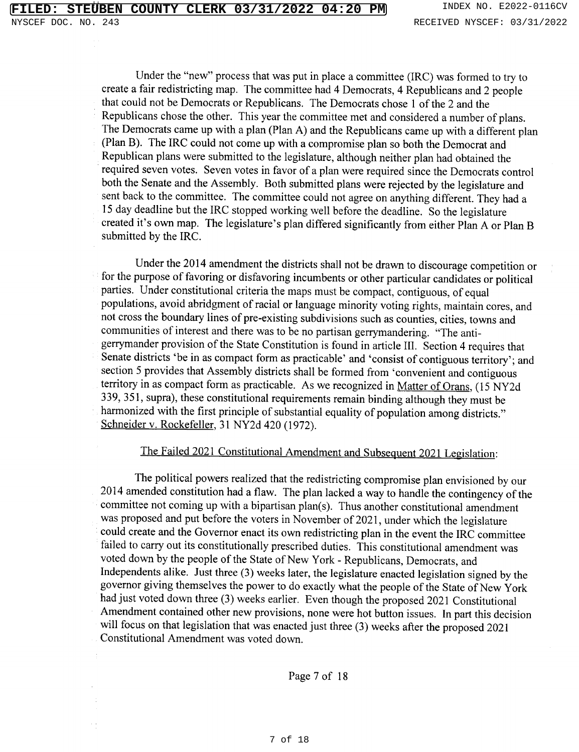Under the "new" process that was put in place a committee (IRC) was formed to try to create a fair redistricting map. The committee had 4 Democrats, 4 Republicans and 2 people that could not be Democrats or Republicans. The Democrats chose 1 of the 2 and the Republicans chose the other. This year the committee met and considered a number of plans. The Democrats came up with a plan (Plan A) and the Republicans came up with a different plan (Plan B). The IRC could not come up with a compromise plan so both the Democrat and Republican plans were submitted to the legislature, although neither plan had obtained the required seven votes. Seven votes in favor of a plan were required since the Democrats control both the Senate and the Assembly. Both submitted plans were rejected by the legislature and sent back to the committee. The committee could not agree on anything different. They had a 15 day deadline but the IRC stopped working well before the deadline. So the legislature created it's own map. The legislature's plan differed significantly from either Plan A or Plan B submitted by the IRC.

Under the 2014 amendment the districts shall not be drawn to discourage competition or for the purpose of favoring or disfavoring incumbents or other particular candidates or political parties. Under constitutional criteria the maps must be compact, contiguous, of equal populations, avoid abridgment of racial or language minority voting rights, maintain cores, and not cross the boundary lines of pre-existing subdivisions such as counties, cities, towns and communities of interest and there was to be no partisan gerrymandering. "The antigerrymander provision of the State Constitution is found in article III. Section 4 requires that Senate districts 'be in as compact form as practicable' and 'consist of contiguous territory'; and section 5 provides that Assembly districts shall be formed from 'convenient and contiguous territory in as compact form as practicable. As we recognized in Matter of Orans, (15 NY2d 339, 351, supra), these constitutional requirements remain binding although they must be harmonized with the first principle of substantial equality of population among districts." Schneider v. Rockefeller, 31 NY2d 420 (1972).

### The Failed 2021 Constitutional Amendment and Subsequent 2021 Legislation:

The political powers realized that the redistricting compromise plan envisioned by our 2014 amended constitution had a flaw. The plan lacked a way to handle the contingency of the committee not coming up with a bipartisan plan(s). Thus another constitutional amendment was proposed and put before the voters in November of 2021, under which the legislature could create and the Governor enact its own redistricting plan in the event the IRC committee failed to carry out its constitutionally prescribed duties. This constitutional amendment was voted down by the people of the State of New York - Republicans, Democrats, and Independents alike. Just three (3) weeks later, the legislature enacted legislation signed by the governor giving themselves the power to do exactly what the people of the State of New York had just voted down three (3) weeks earlier. Even though the proposed 2021 Constitutional Amendment contained other new provisions, none were hot button issues. In part this decision will focus on that legislation that was enacted just three (3) weeks after the proposed 2021 Constitutional Amendment was voted down.

Page 7 of 18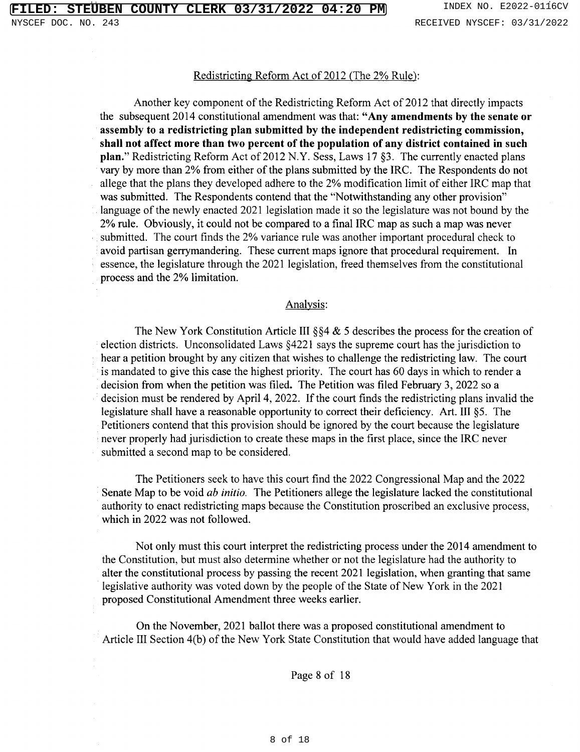# Redistricting Reform Act of 2012 (The 2% Rule):

Another key component of the Redistricting Reform Act of 2012 that directly impacts the subsequent 2014 constitutional amendment was that: "Any amendments by the senate or assembly to a redistricting plan submitted by the independent redistricting commission, shall not affect more than two percent of the population of any district contained in such plan." Redistricting Reform Act of 2012 N.Y. Sess, Laws 17 §3. The currently enacted plans vary by more than 2% from either of the plans submitted by the IRC. The Respondents do not allege that the plans they developed adhere to the 2% modification limit of either IRC map that was submitted. The Respondents contend that the "Notwithstanding any other provision" language of the newly enacted 2021 legislation made it so the legislature was not bound by the 2% rule. Obviously, it could not be compared to a final IRC map as such a map was never submitted. The court finds the 2% variance rule was another important procedural check to avoid partisan gerrymandering. These current maps ignore that procedural requirement. In essence, the legislature through the 2021 legislation, freed themselves from the constitutional process and the 2% limitation.

### Analysis:

The New York Constitution Article III  $\S$  4 & 5 describes the process for the creation of election districts. Unconsolidated Laws §4221 says the supreme court has the jurisdiction to hear a petition brought by any citizen that wishes to challenge the redistricting law. The court is mandated to give this case the highest priority. The court has 60 days in which to render a decision from when the petition was filed. The Petition was filed February 3, 2022 so a decision must be rendered by April 4, 2022. If the court finds the redistricting plans invalid the legislature shall have a reasonable opportunity to correct their deficiency. Art. III §5. The Petitioners contend that this provision should be ignored by the court because the legislature never properly had jurisdiction to create these maps in the first place, since the IRC never submitted a second map to be considered.

The Petitioners seek to have this court find the 2022 Congressional Map and the 2022 Senate Map to be void *ab initio*. The Petitioners allege the legislature lacked the constitutional authority to enact redistricting maps because the Constitution proscribed an exclusive process, which in 2022 was not followed.

Not only must this court interpret the redistricting process under the 2014 amendment to the Constitution, but must also determine whether or not the legislature had the authority to alter the constitutional process by passing the recent 2021 legislation, when granting that same legislative authority was voted down by the people of the State of New York in the 2021 proposed Constitutional Amendment three weeks earlier.

On the November, 2021 ballot there was a proposed constitutional amendment to Article III Section 4(b) of the New York State Constitution that would have added language that

Page 8 of 18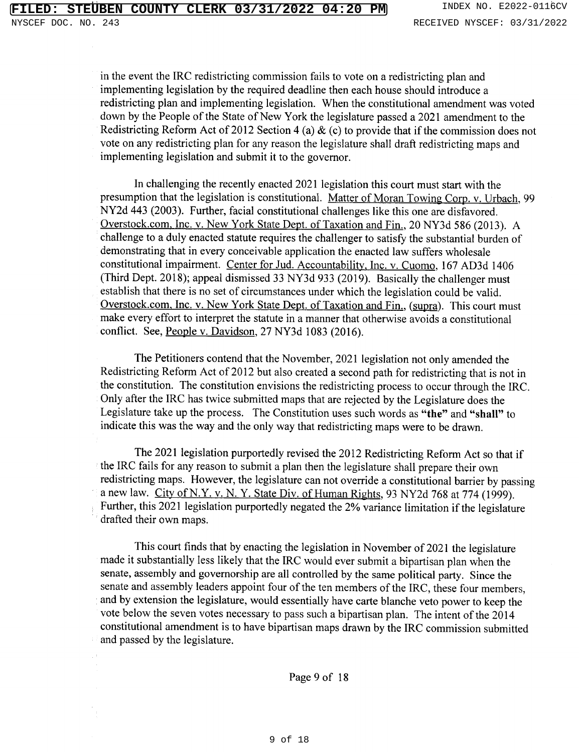in the event the IRC redistricting commission fails to vote on a redistricting plan and implementing legislation by the required deadline then each house should introduce a redistricting plan and implementing legislation. When the constitutional amendment was voted down by the People of the State of New York the legislature passed a 2021 amendment to the Redistricting Reform Act of 2012 Section 4 (a) & (c) to provide that if the commission does not vote on any redistricting plan for any reason the legislature shall draft redistricting maps and implementing legislation and submit it to the governor.

In challenging the recently enacted 2021 legislation this court must start with the presumption that the legislation is constitutional. Matter of Moran Towing Corp. v. Urbach, 99 NY2d 443 (2003). Further, facial constitutional challenges like this one are disfavored. Overstock.com, Inc. v. New York State Dept. of Taxation and Fin., 20 NY3d 586 (2013). A challenge to a duly enacted statute requires the challenger to satisfy the substantial burden of demonstrating that in every conceivable application the enacted law suffers wholesale constitutional impairment. Center for Jud. Accountability, Inc. v. Cuomo, 167 AD3d 1406 (Third Dept. 2018); appeal dismissed 33 NY3d 933 (2019). Basically the challenger must establish that there is no set of circumstances under which the legislation could be valid. Overstock.com, Inc. v. New York State Dept. of Taxation and Fin., (supra). This court must make every effort to interpret the statute in a manner that otherwise avoids a constitutional conflict. See, People v. Davidson, 27 NY3d 1083 (2016).

The Petitioners contend that the November, 2021 legislation not only amended the Redistricting Reform Act of 2012 but also created a second path for redistricting that is not in the constitution. The constitution envisions the redistricting process to occur through the IRC. Only after the IRC has twice submitted maps that are rejected by the Legislature does the Legislature take up the process. The Constitution uses such words as "the" and "shall" to indicate this was the way and the only way that redistricting maps were to be drawn.

The 2021 legislation purportedly revised the 2012 Redistricting Reform Act so that if the IRC fails for any reason to submit a plan then the legislature shall prepare their own redistricting maps. However, the legislature can not override a constitutional barrier by passing a new law. City of N.Y. v. N.Y. State Div. of Human Rights, 93 NY2d 768 at 774 (1999). Further, this 2021 legislation purportedly negated the 2% variance limitation if the legislature drafted their own maps.

This court finds that by enacting the legislation in November of 2021 the legislature made it substantially less likely that the IRC would ever submit a bipartisan plan when the senate, assembly and governorship are all controlled by the same political party. Since the senate and assembly leaders appoint four of the ten members of the IRC, these four members, and by extension the legislature, would essentially have carte blanche veto power to keep the vote below the seven votes necessary to pass such a bipartisan plan. The intent of the 2014 constitutional amendment is to have bipartisan maps drawn by the IRC commission submitted and passed by the legislature.

Page 9 of 18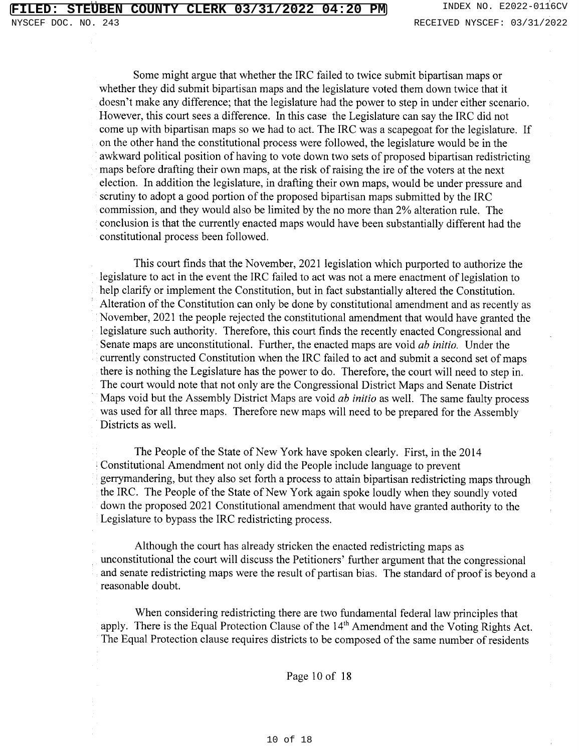Some might argue that whether the IRC failed to twice submit bipartisan maps or whether they did submit bipartisan maps and the legislature voted them down twice that it doesn't make any difference; that the legislature had the power to step in under either scenario. However, this court sees a difference. In this case the Legislature can say the IRC did not come up with bipartisan maps so we had to act. The IRC was a scapegoat for the legislature. If on the other hand the constitutional process were followed, the legislature would be in the awkward political position of having to vote down two sets of proposed bipartisan redistricting maps before drafting their own maps, at the risk of raising the ire of the voters at the next election. In addition the legislature, in drafting their own maps, would be under pressure and scrutiny to adopt a good portion of the proposed bipartisan maps submitted by the IRC commission, and they would also be limited by the no more than 2% alteration rule. The conclusion is that the currently enacted maps would have been substantially different had the constitutional process been followed.

This court finds that the November, 2021 legislation which purported to authorize the legislature to act in the event the IRC failed to act was not a mere enactment of legislation to help clarify or implement the Constitution, but in fact substantially altered the Constitution. Alteration of the Constitution can only be done by constitutional amendment and as recently as November, 2021 the people rejected the constitutional amendment that would have granted the legislature such authority. Therefore, this court finds the recently enacted Congressional and Senate maps are unconstitutional. Further, the enacted maps are void *ab initio*. Under the currently constructed Constitution when the IRC failed to act and submit a second set of maps there is nothing the Legislature has the power to do. Therefore, the court will need to step in. The court would note that not only are the Congressional District Maps and Senate District Maps void but the Assembly District Maps are void *ab initio* as well. The same faulty process was used for all three maps. Therefore new maps will need to be prepared for the Assembly Districts as well.

The People of the State of New York have spoken clearly. First, in the 2014 Constitutional Amendment not only did the People include language to prevent gerrymandering, but they also set forth a process to attain bipartisan redistricting maps through the IRC. The People of the State of New York again spoke loudly when they soundly voted down the proposed 2021 Constitutional amendment that would have granted authority to the Legislature to bypass the IRC redistricting process.

Although the court has already stricken the enacted redistricting maps as unconstitutional the court will discuss the Petitioners' further argument that the congressional and senate redistricting maps were the result of partisan bias. The standard of proof is beyond a reasonable doubt.

When considering redistricting there are two fundamental federal law principles that apply. There is the Equal Protection Clause of the 14<sup>th</sup> Amendment and the Voting Rights Act. The Equal Protection clause requires districts to be composed of the same number of residents

Page 10 of 18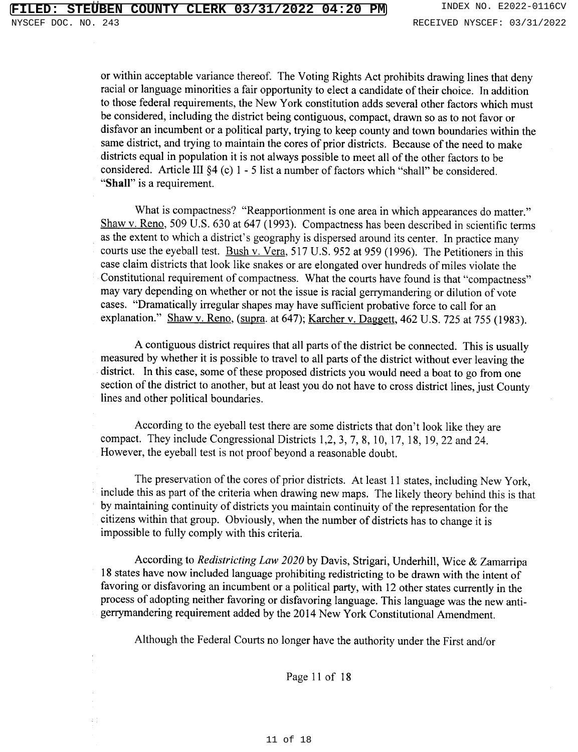or within acceptable variance thereof. The Voting Rights Act prohibits drawing lines that deny racial or language minorities a fair opportunity to elect a candidate of their choice. In addition to those federal requirements, the New York constitution adds several other factors which must be considered, including the district being contiguous, compact, drawn so as to not favor or disfavor an incumbent or a political party, trying to keep county and town boundaries within the same district, and trying to maintain the cores of prior districts. Because of the need to make districts equal in population it is not always possible to meet all of the other factors to be considered. Article III §4 (c) 1 - 5 list a number of factors which "shall" be considered. "Shall" is a requirement.

What is compactness? "Reapportionment is one area in which appearances do matter." Shaw v. Reno, 509 U.S. 630 at 647 (1993). Compactness has been described in scientific terms as the extent to which a district's geography is dispersed around its center. In practice many courts use the eyeball test. Bush v. Vera, 517 U.S. 952 at 959 (1996). The Petitioners in this case claim districts that look like snakes or are elongated over hundreds of miles violate the Constitutional requirement of compactness. What the courts have found is that "compactness" may vary depending on whether or not the issue is racial gerrymandering or dilution of vote cases. "Dramatically irregular shapes may have sufficient probative force to call for an explanation." Shaw v. Reno, (supra. at 647); Karcher v. Daggett, 462 U.S. 725 at 755 (1983).

A contiguous district requires that all parts of the district be connected. This is usually measured by whether it is possible to travel to all parts of the district without ever leaving the district. In this case, some of these proposed districts you would need a boat to go from one section of the district to another, but at least you do not have to cross district lines, just County lines and other political boundaries.

According to the eyeball test there are some districts that don't look like they are compact. They include Congressional Districts 1,2, 3, 7, 8, 10, 17, 18, 19, 22 and 24. However, the eyeball test is not proof beyond a reasonable doubt.

The preservation of the cores of prior districts. At least 11 states, including New York, include this as part of the criteria when drawing new maps. The likely theory behind this is that by maintaining continuity of districts you maintain continuity of the representation for the citizens within that group. Obviously, when the number of districts has to change it is impossible to fully comply with this criteria.

According to Redistricting Law 2020 by Davis, Strigari, Underhill, Wice & Zamarripa 18 states have now included language prohibiting redistricting to be drawn with the intent of favoring or disfavoring an incumbent or a political party, with 12 other states currently in the process of adopting neither favoring or disfavoring language. This language was the new antigerrymandering requirement added by the 2014 New York Constitutional Amendment.

Although the Federal Courts no longer have the authority under the First and/or

Page 11 of 18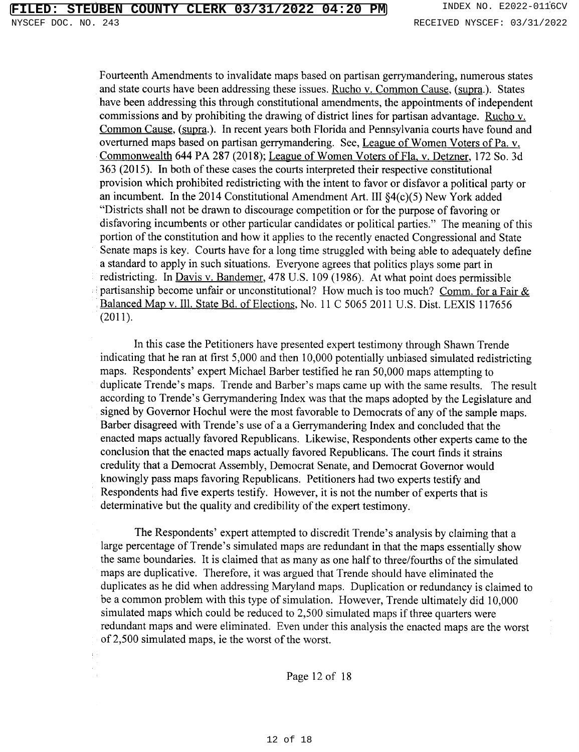Fourteenth Amendments to invalidate maps based on partisan gerrymandering, numerous states and state courts have been addressing these issues. Rucho v. Common Cause, (supra.). States have been addressing this through constitutional amendments, the appointments of independent commissions and by prohibiting the drawing of district lines for partisan advantage. Rucho v. Common Cause, (supra.). In recent years both Florida and Pennsylvania courts have found and overturned maps based on partisan gerrymandering. See, League of Women Voters of Pa. v. Commonwealth 644 PA 287 (2018); League of Women Voters of Fla, v. Detzner, 172 So. 3d 363 (2015). In both of these cases the courts interpreted their respective constitutional provision which prohibited redistricting with the intent to favor or disfavor a political party or an incumbent. In the 2014 Constitutional Amendment Art. III  $\S4(c)(5)$  New York added "Districts shall not be drawn to discourage competition or for the purpose of favoring or disfavoring incumbents or other particular candidates or political parties." The meaning of this portion of the constitution and how it applies to the recently enacted Congressional and State Senate maps is key. Courts have for a long time struggled with being able to adequately define

a standard to apply in such situations. Everyone agrees that politics plays some part in redistricting. In Davis v. Bandemer, 478 U.S. 109 (1986). At what point does permissible partisanship become unfair or unconstitutional? How much is too much? Comm. for a Fair & Balanced Map v. Ill. State Bd. of Elections, No. 11 C 5065 2011 U.S. Dist. LEXIS 117656  $(2011).$ 

In this case the Petitioners have presented expert testimony through Shawn Trende indicating that he ran at first 5,000 and then 10,000 potentially unbiased simulated redistricting maps. Respondents' expert Michael Barber testified he ran 50,000 maps attempting to duplicate Trende's maps. Trende and Barber's maps came up with the same results. The result according to Trende's Gerrymandering Index was that the maps adopted by the Legislature and signed by Governor Hochul were the most favorable to Democrats of any of the sample maps. Barber disagreed with Trende's use of a a Gerrymandering Index and concluded that the enacted maps actually favored Republicans. Likewise, Respondents other experts came to the conclusion that the enacted maps actually favored Republicans. The court finds it strains credulity that a Democrat Assembly, Democrat Senate, and Democrat Governor would knowingly pass maps favoring Republicans. Petitioners had two experts testify and Respondents had five experts testify. However, it is not the number of experts that is determinative but the quality and credibility of the expert testimony.

The Respondents' expert attempted to discredit Trende's analysis by claiming that a large percentage of Trende's simulated maps are redundant in that the maps essentially show the same boundaries. It is claimed that as many as one half to three/fourths of the simulated maps are duplicative. Therefore, it was argued that Trende should have eliminated the duplicates as he did when addressing Maryland maps. Duplication or redundancy is claimed to be a common problem with this type of simulation. However, Trende ultimately did 10,000 simulated maps which could be reduced to 2,500 simulated maps if three quarters were redundant maps and were eliminated. Even under this analysis the enacted maps are the worst of 2,500 simulated maps, ie the worst of the worst.

Page 12 of 18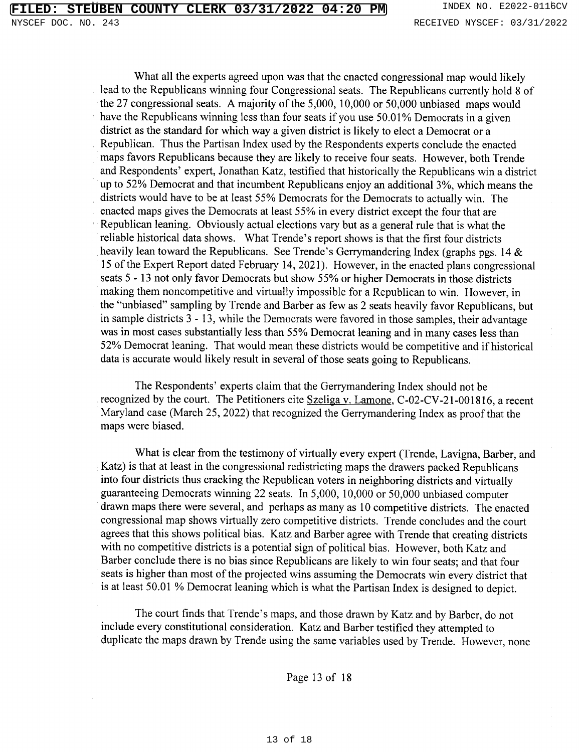What all the experts agreed upon was that the enacted congressional map would likely lead to the Republicans winning four Congressional seats. The Republicans currently hold 8 of the 27 congressional seats. A majority of the 5,000, 10,000 or 50,000 unbiased maps would have the Republicans winning less than four seats if you use 50.01% Democrats in a given district as the standard for which way a given district is likely to elect a Democrat or a Republican. Thus the Partisan Index used by the Respondents experts conclude the enacted maps favors Republicans because they are likely to receive four seats. However, both Trende and Respondents' expert, Jonathan Katz, testified that historically the Republicans win a district up to 52% Democrat and that incumbent Republicans enjoy an additional 3%, which means the districts would have to be at least 55% Democrats for the Democrats to actually win. The enacted maps gives the Democrats at least 55% in every district except the four that are Republican leaning. Obviously actual elections vary but as a general rule that is what the reliable historical data shows. What Trende's report shows is that the first four districts heavily lean toward the Republicans. See Trende's Gerrymandering Index (graphs pgs. 14 & 15 of the Expert Report dated February 14, 2021). However, in the enacted plans congressional seats 5 - 13 not only favor Democrats but show 55% or higher Democrats in those districts making them noncompetitive and virtually impossible for a Republican to win. However, in the "unbiased" sampling by Trende and Barber as few as 2 seats heavily favor Republicans, but in sample districts 3 - 13, while the Democrats were favored in those samples, their advantage was in most cases substantially less than 55% Democrat leaning and in many cases less than 52% Democrat leaning. That would mean these districts would be competitive and if historical data is accurate would likely result in several of those seats going to Republicans.

The Respondents' experts claim that the Gerrymandering Index should not be recognized by the court. The Petitioners cite Szeliga v. Lamone, C-02-CV-21-001816, a recent Maryland case (March 25, 2022) that recognized the Gerrymandering Index as proof that the maps were biased.

What is clear from the testimony of virtually every expert (Trende, Lavigna, Barber, and Katz) is that at least in the congressional redistricting maps the drawers packed Republicans into four districts thus cracking the Republican voters in neighboring districts and virtually guaranteeing Democrats winning 22 seats. In 5,000, 10,000 or 50,000 unbiased computer drawn maps there were several, and perhaps as many as 10 competitive districts. The enacted congressional map shows virtually zero competitive districts. Trende concludes and the court agrees that this shows political bias. Katz and Barber agree with Trende that creating districts with no competitive districts is a potential sign of political bias. However, both Katz and Barber conclude there is no bias since Republicans are likely to win four seats; and that four seats is higher than most of the projected wins assuming the Democrats win every district that is at least 50.01 % Democrat leaning which is what the Partisan Index is designed to depict.

The court finds that Trende's maps, and those drawn by Katz and by Barber, do not include every constitutional consideration. Katz and Barber testified they attempted to duplicate the maps drawn by Trende using the same variables used by Trende. However, none

Page 13 of 18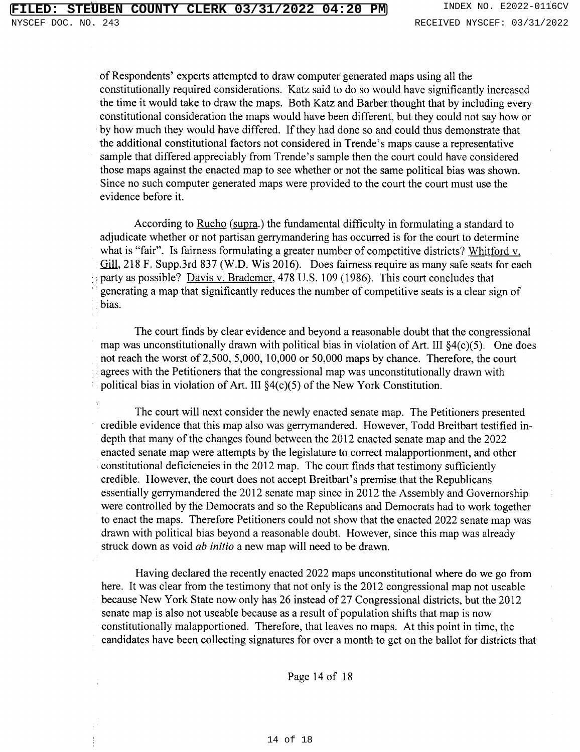of Respondents' experts attempted to draw computer generated maps using all the constitutionally required considerations. Katz said to do so would have significantly increased the time it would take to draw the maps. Both Katz and Barber thought that by including every constitutional consideration the maps would have been different, but they could not say how or by how much they would have differed. If they had done so and could thus demonstrate that the additional constitutional factors not considered in Trende's maps cause a representative sample that differed appreciably from Trende's sample then the court could have considered those maps against the enacted map to see whether or not the same political bias was shown. Since no such computer generated maps were provided to the court the court must use the evidence before it.

According to Rucho (supra.) the fundamental difficulty in formulating a standard to adjudicate whether or not partisan gerrymandering has occurred is for the court to determine what is "fair". Is fairness formulating a greater number of competitive districts? Whitford v. Gill, 218 F. Supp.3rd 837 (W.D. Wis 2016). Does fairness require as many safe seats for each party as possible? Davis v. Brademer, 478 U.S. 109 (1986). This court concludes that generating a map that significantly reduces the number of competitive seats is a clear sign of bias.

The court finds by clear evidence and beyond a reasonable doubt that the congressional map was unconstitutionally drawn with political bias in violation of Art. III \$4(c)(5). One does not reach the worst of 2,500, 5,000, 10,000 or 50,000 maps by chance. Therefore, the court agrees with the Petitioners that the congressional map was unconstitutionally drawn with political bias in violation of Art. III  $\S4(c)(5)$  of the New York Constitution.

The court will next consider the newly enacted senate map. The Petitioners presented credible evidence that this map also was gerrymandered. However, Todd Breitbart testified indepth that many of the changes found between the 2012 enacted senate map and the 2022 enacted senate map were attempts by the legislature to correct malapportionment, and other constitutional deficiencies in the 2012 map. The court finds that testimony sufficiently credible. However, the court does not accept Breitbart's premise that the Republicans essentially gerrymandered the 2012 senate map since in 2012 the Assembly and Governorship were controlled by the Democrats and so the Republicans and Democrats had to work together to enact the maps. Therefore Petitioners could not show that the enacted 2022 senate map was drawn with political bias beyond a reasonable doubt. However, since this map was already struck down as void *ab initio* a new map will need to be drawn.

Having declared the recently enacted 2022 maps unconstitutional where do we go from here. It was clear from the testimony that not only is the 2012 congressional map not useable because New York State now only has 26 instead of 27 Congressional districts, but the 2012 senate map is also not useable because as a result of population shifts that map is now constitutionally malapportioned. Therefore, that leaves no maps. At this point in time, the candidates have been collecting signatures for over a month to get on the ballot for districts that

Page 14 of 18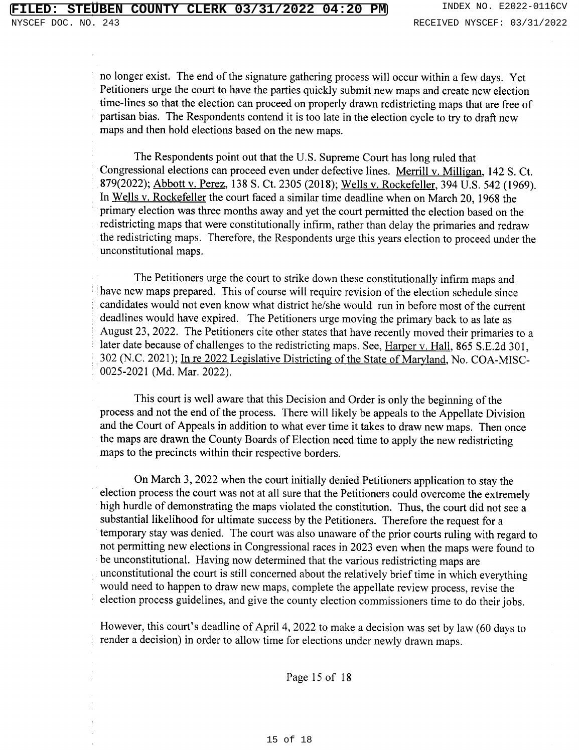no longer exist. The end of the signature gathering process will occur within a few days. Yet Petitioners urge the court to have the parties quickly submit new maps and create new election time-lines so that the election can proceed on properly drawn redistricting maps that are free of partisan bias. The Respondents contend it is too late in the election cycle to try to draft new maps and then hold elections based on the new maps.

The Respondents point out that the U.S. Supreme Court has long ruled that Congressional elections can proceed even under defective lines. Merrill v. Milligan, 142 S. Ct. 879(2022); Abbott v. Perez, 138 S. Ct. 2305 (2018); Wells v. Rockefeller, 394 U.S. 542 (1969). In Wells v. Rockefeller the court faced a similar time deadline when on March 20, 1968 the primary election was three months away and yet the court permitted the election based on the redistricting maps that were constitutionally infirm, rather than delay the primaries and redraw the redistricting maps. Therefore, the Respondents urge this years election to proceed under the unconstitutional maps.

The Petitioners urge the court to strike down these constitutionally infirm maps and have new maps prepared. This of course will require revision of the election schedule since candidates would not even know what district he/she would run in before most of the current deadlines would have expired. The Petitioners urge moving the primary back to as late as August 23, 2022. The Petitioners cite other states that have recently moved their primaries to a later date because of challenges to the redistricting maps. See, Harper v. Hall, 865 S.E.2d 301, 302 (N.C. 2021); In re 2022 Legislative Districting of the State of Maryland, No. COA-MISC-0025-2021 (Md. Mar. 2022).

This court is well aware that this Decision and Order is only the beginning of the process and not the end of the process. There will likely be appeals to the Appellate Division and the Court of Appeals in addition to what ever time it takes to draw new maps. Then once the maps are drawn the County Boards of Election need time to apply the new redistricting maps to the precincts within their respective borders.

On March 3, 2022 when the court initially denied Petitioners application to stay the election process the court was not at all sure that the Petitioners could overcome the extremely high hurdle of demonstrating the maps violated the constitution. Thus, the court did not see a substantial likelihood for ultimate success by the Petitioners. Therefore the request for a temporary stay was denied. The court was also unaware of the prior courts ruling with regard to not permitting new elections in Congressional races in 2023 even when the maps were found to be unconstitutional. Having now determined that the various redistricting maps are unconstitutional the court is still concerned about the relatively brief time in which everything would need to happen to draw new maps, complete the appellate review process, revise the election process guidelines, and give the county election commissioners time to do their jobs.

However, this court's deadline of April 4, 2022 to make a decision was set by law (60 days to render a decision) in order to allow time for elections under newly drawn maps.

Page 15 of 18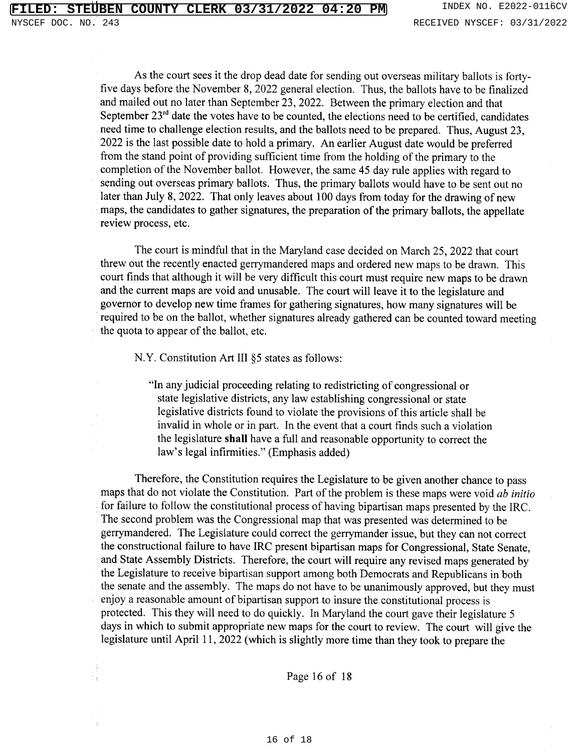As the court sees it the drop dead date for sending out overseas military ballots is fortyfive days before the November 8, 2022 general election. Thus, the ballots have to be finalized and mailed out no later than September 23, 2022. Between the primary election and that September  $23^{rd}$  date the votes have to be counted, the elections need to be certified, candidates need time to challenge election results, and the ballots need to be prepared. Thus, August 23, 2022 is the last possible date to hold a primary. An earlier August date would be preferred from the stand point of providing sufficient time from the holding of the primary to the completion of the November ballot. However, the same 45 day rule applies with regard to sending out overseas primary ballots. Thus, the primary ballots would have to be sent out no later than July 8, 2022. That only leaves about 100 days from today for the drawing of new maps, the candidates to gather signatures, the preparation of the primary ballots, the appellate review process, etc.

The court is mindful that in the Maryland case decided on March 25, 2022 that court threw out the recently enacted gerrymandered maps and ordered new maps to be drawn. This court finds that although it will be very difficult this court must require new maps to be drawn and the current maps are void and unusable. The court will leave it to the legislature and governor to develop new time frames for gathering signatures, how many signatures will be required to be on the ballot, whether signatures already gathered can be counted toward meeting the quota to appear of the ballot, etc.

N.Y. Constitution Art III §5 states as follows:

"In any judicial proceeding relating to redistricting of congressional or state legislative districts, any law establishing congressional or state legislative districts found to violate the provisions of this article shall be invalid in whole or in part. In the event that a court finds such a violation the legislature shall have a full and reasonable opportunity to correct the law's legal infirmities." (Emphasis added)

Therefore, the Constitution requires the Legislature to be given another chance to pass maps that do not violate the Constitution. Part of the problem is these maps were void ab initio for failure to follow the constitutional process of having bipartisan maps presented by the IRC. The second problem was the Congressional map that was presented was determined to be gerrymandered. The Legislature could correct the gerrymander issue, but they can not correct the constructional failure to have IRC present bipartisan maps for Congressional, State Senate, and State Assembly Districts. Therefore, the court will require any revised maps generated by the Legislature to receive bipartisan support among both Democrats and Republicans in both the senate and the assembly. The maps do not have to be unanimously approved, but they must enjoy a reasonable amount of bipartisan support to insure the constitutional process is protected. This they will need to do quickly. In Maryland the court gave their legislature 5 days in which to submit appropriate new maps for the court to review. The court will give the legislature until April 11, 2022 (which is slightly more time than they took to prepare the

Page 16 of 18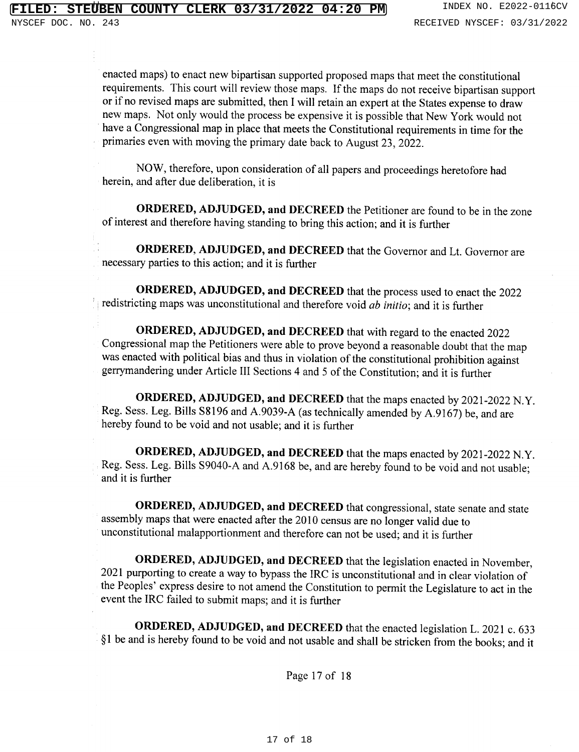enacted maps) to enact new bipartisan supported proposed maps that meet the constitutional requirements. This court will review those maps. If the maps do not receive bipartisan support or if no revised maps are submitted, then I will retain an expert at the States expense to draw new maps. Not only would the process be expensive it is possible that New York would not have a Congressional map in place that meets the Constitutional requirements in time for the primaries even with moving the primary date back to August 23, 2022.

NOW, therefore, upon consideration of all papers and proceedings heretofore had herein, and after due deliberation, it is

**ORDERED, ADJUDGED, and DECREED** the Petitioner are found to be in the zone of interest and therefore having standing to bring this action; and it is further

ORDERED, ADJUDGED, and DECREED that the Governor and Lt. Governor are necessary parties to this action; and it is further

ORDERED, ADJUDGED, and DECREED that the process used to enact the 2022 redistricting maps was unconstitutional and therefore void *ab initio*; and it is further

ORDERED, ADJUDGED, and DECREED that with regard to the enacted 2022 Congressional map the Petitioners were able to prove beyond a reasonable doubt that the map was enacted with political bias and thus in violation of the constitutional prohibition against gerrymandering under Article III Sections 4 and 5 of the Constitution; and it is further

ORDERED, ADJUDGED, and DECREED that the maps enacted by 2021-2022 N.Y. Reg. Sess. Leg. Bills S8196 and A.9039-A (as technically amended by A.9167) be, and are hereby found to be void and not usable; and it is further

ORDERED, ADJUDGED, and DECREED that the maps enacted by 2021-2022 N.Y. Reg. Sess. Leg. Bills S9040-A and A.9168 be, and are hereby found to be void and not usable; and it is further

ORDERED, ADJUDGED, and DECREED that congressional, state senate and state assembly maps that were enacted after the 2010 census are no longer valid due to unconstitutional malapportionment and therefore can not be used; and it is further

ORDERED, ADJUDGED, and DECREED that the legislation enacted in November, 2021 purporting to create a way to bypass the IRC is unconstitutional and in clear violation of the Peoples' express desire to not amend the Constitution to permit the Legislature to act in the event the IRC failed to submit maps; and it is further

ORDERED, ADJUDGED, and DECREED that the enacted legislation L. 2021 c. 633 §1 be and is hereby found to be void and not usable and shall be stricken from the books; and it

Page 17 of 18